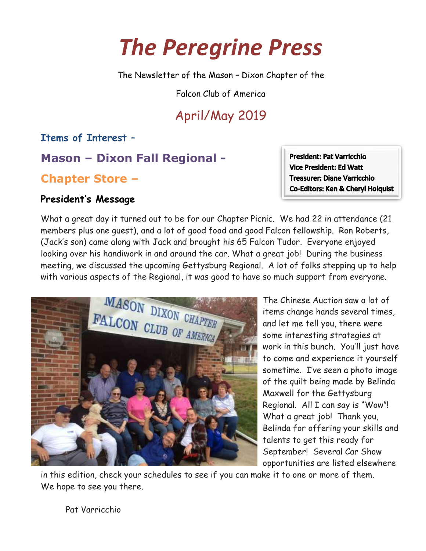# *The Peregrine Press*

The Newsletter of the Mason – Dixon Chapter of the

Falcon Club of America

# April/May 2019

**Items of Interest –**

# **Mason – Dixon Fall Regional -**

**Chapter Store –**

#### **President's Message**

**President: Pat Varricchio Vice President: Ed Watt Treasurer: Diane Varricchio** Co-Editors: Ken & Cheryl Holquist

What a great day it turned out to be for our Chapter Picnic. We had 22 in attendance (21 members plus one guest), and a lot of good food and good Falcon fellowship. Ron Roberts, (Jack's son) came along with Jack and brought his 65 Falcon Tudor. Everyone enjoyed looking over his handiwork in and around the car. What a great job! During the business meeting, we discussed the upcoming Gettysburg Regional. A lot of folks stepping up to help with various aspects of the Regional, it was good to have so much support from everyone.



The Chinese Auction saw a lot of items change hands several times, and let me tell you, there were some interesting strategies at work in this bunch. You'll just have to come and experience it yourself sometime. I've seen a photo image of the quilt being made by Belinda Maxwell for the Gettysburg Regional. All I can say is "Wow"! What a great job! Thank you, Belinda for offering your skills and talents to get this ready for September! Several Car Show opportunities are listed elsewhere

in this edition, check your schedules to see if you can make it to one or more of them. We hope to see you there.

Pat Varricchio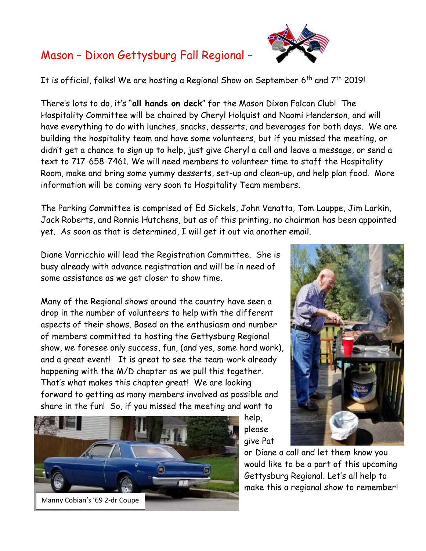# Mason – Dixon Gettysburg Fall Regional –



It is official, folks! We are hosting a Regional Show on September  $6<sup>th</sup>$  and  $7<sup>th</sup>$  2019!

There's lots to do, it's "**all hands on deck**" for the Mason Dixon Falcon Club! The Hospitality Committee will be chaired by Cheryl Holquist and Naomi Henderson, and will have everything to do with lunches, snacks, desserts, and beverages for both days. We are building the hospitality team and have some volunteers, but if you missed the meeting, or didn't get a chance to sign up to help, just give Cheryl a call and leave a message, or send a text to 717-658-7461. We will need members to volunteer time to staff the Hospitality Room, make and bring some yummy desserts, set-up and clean-up, and help plan food. More information will be coming very soon to Hospitality Team members.

The Parking Committee is comprised of Ed Sickels, John Vanatta, Tom Lauppe, Jim Larkin, Jack Roberts, and Ronnie Hutchens, but as of this printing, no chairman has been appointed yet. As soon as that is determined, I will get it out via another email.

Diane Varricchio will lead the Registration Committee. She is busy already with advance registration and will be in need of some assistance as we get closer to show time.

Many of the Regional shows around the country have seen a drop in the number of volunteers to help with the different aspects of their shows. Based on the enthusiasm and number of members committed to hosting the Gettysburg Regional show, we foresee only success, fun, (and yes, some hard work), and a great event! It is great to see the team-work already happening with the M/D chapter as we pull this together. That's what makes this chapter great! We are looking forward to getting as many members involved as possible and share in the fun! So, if you missed the meeting and want to



help, please give Pat



or Diane a call and let them know you would like to be a part of this upcoming Gettysburg Regional. Let's all help to make this a regional show to remember!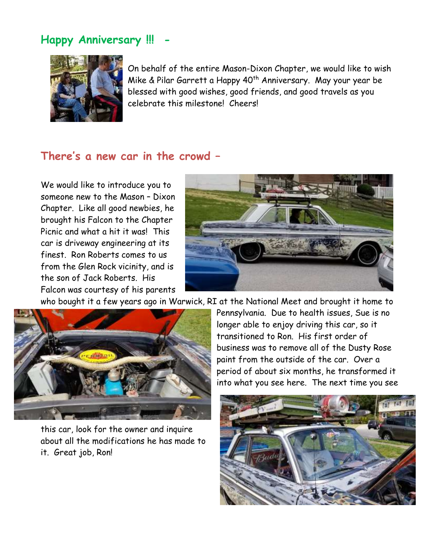#### **Happy Anniversary !!!**



On behalf of the entire Mason-Dixon Chapter, we would like to wish Mike & Pilar Garrett a Happy 40<sup>th</sup> Anniversary. May your year be blessed with good wishes, good friends, and good travels as you celebrate this milestone! Cheers!

#### **There's a new car in the crowd –**

We would like to introduce you to someone new to the Mason – Dixon Chapter. Like all good newbies, he brought his Falcon to the Chapter Picnic and what a hit it was! This car is driveway engineering at its finest. Ron Roberts comes to us from the Glen Rock vicinity, and is the son of Jack Roberts. His Falcon was courtesy of his parents



who bought it a few years ago in Warwick, RI at the National Meet and brought it home to



this car, look for the owner and inquire about all the modifications he has made to it. Great job, Ron!

Pennsylvania. Due to health issues, Sue is no longer able to enjoy driving this car, so it transitioned to Ron. His first order of business was to remove all of the Dusty Rose paint from the outside of the car. Over a period of about six months, he transformed it into what you see here. The next time you see

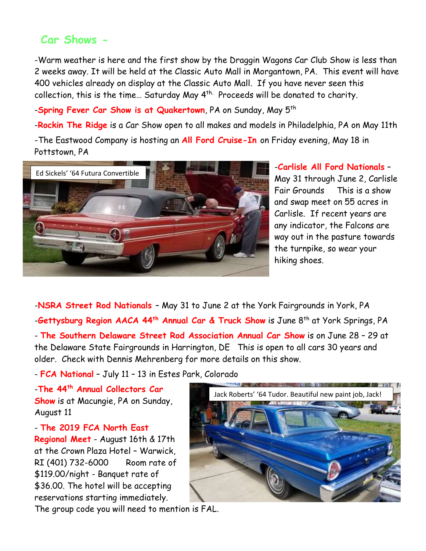### **Car Shows -**

-Warm weather is here and the first show by the Draggin Wagons Car Club Show is less than 2 weeks away. It will be held at the Classic Auto Mall in Morgantown, PA. This event will have 400 vehicles already on display at the Classic Auto Mall. If you have never seen this collection, this is the time… Saturday May 4th. Proceeds will be donated to charity.

-**Spring Fever Car Show is at Quakertown**, PA on Sunday, May 5<sup>th</sup>

-**Rockin The Ridge** is a Car Show open to all makes and models in Philadelphia, PA on May 11th

-The Eastwood Company is hosting an **All Ford Cruise-In** on Friday evening, May 18 in Pottstown, PA



-**Carlisle All Ford Nationals** – May 31 through June 2, Carlisle Fair Grounds This is a show and swap meet on 55 acres in Carlisle. If recent years are any indicator, the Falcons are way out in the pasture towards the turnpike, so wear your hiking shoes.

-**NSRA Street Rod Nationals** – May 31 to June 2 at the York Fairgrounds in York, PA -**Gettysburg Region AACA 44th Annual Car & Truck Show** is June 8th at York Springs, PA - **The Southern Delaware Street Rod Association Annual Car Show** is on June 28 – 29 at the Delaware State Fairgrounds in Harrington, DE This is open to all cars 30 years and older. Check with Dennis Mehrenberg for more details on this show.

- **FCA National** – July 11 – 13 in Estes Park, Colorado

-**The 44th Annual Collectors Car Show** is at Macungie, PA on Sunday, August 11

- **The 2019 FCA North East Regional Meet** - August 16th & 17th at the Crown Plaza Hotel – Warwick, RI (401) 732-6000 Room rate of \$119.00/night - Banquet rate of \$36.00. The hotel will be accepting reservations starting immediately.

The group code you will need to mention is FAL.

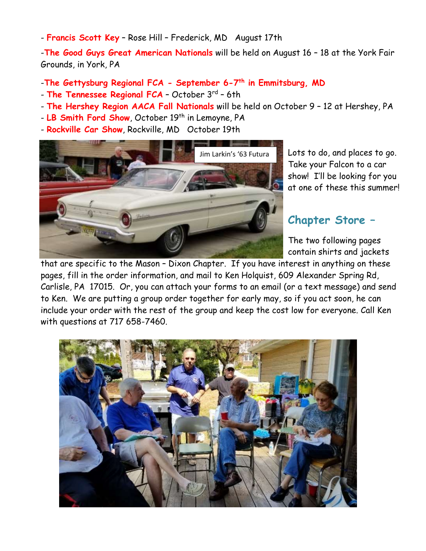- **Francis Scott Key** – Rose Hill – Frederick, MD August 17th

-**The Good Guys Great American Nationals** will be held on August 16 – 18 at the York Fair Grounds, in York, PA

-**The Gettysburg Regional FCA - September 6-7 th in Emmitsburg, MD** 

- The Tennessee Regional FCA - October 3rd - 6th

- **The Hershey Region AACA Fall Nationals** will be held on October 9 12 at Hershey, PA
- LB Smith Ford Show, October 19<sup>th</sup> in Lemoyne, PA
- **Rockville Car Show**, Rockville, MD October 19th



Lots to do, and places to go. Take your Falcon to a car show! I'll be looking for you at one of these this summer!

## **Chapter Store –**

The two following pages contain shirts and jackets

that are specific to the Mason – Dixon Chapter. If you have interest in anything on these pages, fill in the order information, and mail to Ken Holquist, 609 Alexander Spring Rd, Carlisle, PA 17015. Or, you can attach your forms to an email (or a text message) and send to Ken. We are putting a group order together for early may, so if you act soon, he can include your order with the rest of the group and keep the cost low for everyone. Call Ken with questions at 717 658-7460.

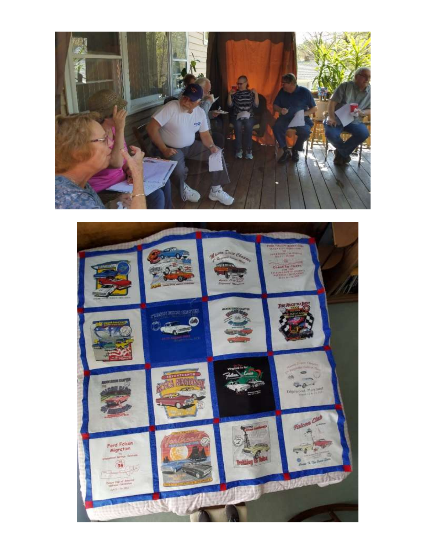

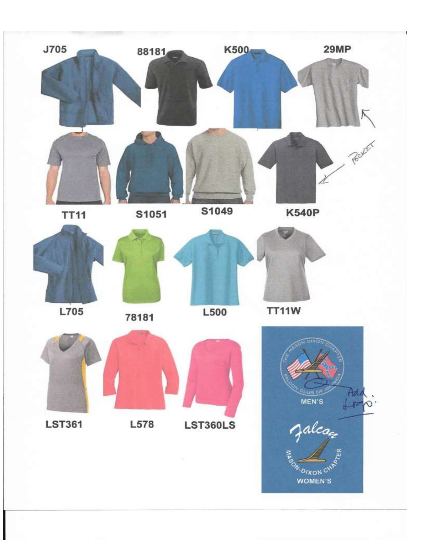